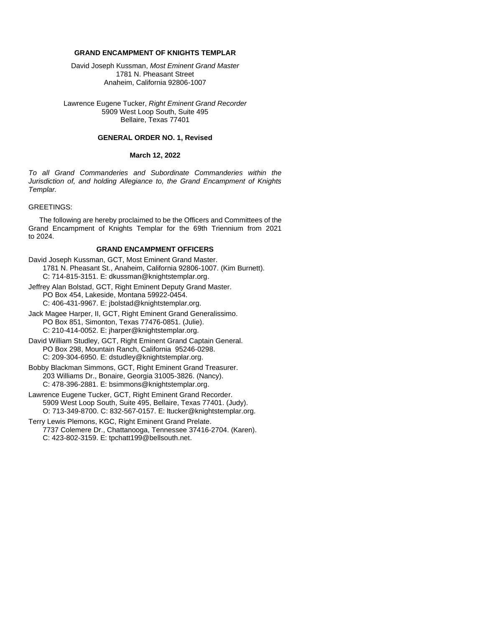#### **GRAND ENCAMPMENT OF KNIGHTS TEMPLAR**

David Joseph Kussman, *Most Eminent Grand Master*  1781 N. Pheasant Street Anaheim, California 92806-1007

Lawrence Eugene Tucker, *Right Eminent Grand Recorder* 5909 West Loop South, Suite 495 Bellaire, Texas 77401

#### **GENERAL ORDER NO. 1, Revised**

#### **March 12, 2022**

*To all Grand Commanderies and Subordinate Commanderies within the Jurisdiction of, and holding Allegiance to, the Grand Encampment of Knights Templar.*

#### GREETINGS:

The following are hereby proclaimed to be the Officers and Committees of the Grand Encampment of Knights Templar for the 69th Triennium from 2021 to 2024.

#### **GRAND ENCAMPMENT OFFICERS**

- David Joseph Kussman, GCT, Most Eminent Grand Master. 1781 N. Pheasant St., Anaheim, California 92806-1007. (Kim Burnett). C: 714-815-3151. E: dkussman@knightstemplar.org.
- Jeffrey Alan Bolstad, GCT, Right Eminent Deputy Grand Master. PO Box 454, Lakeside, Montana 59922-0454.

C: 406-431-9967. E: jbolstad@knightstemplar.org.

- Jack Magee Harper, II, GCT, Right Eminent Grand Generalissimo. PO Box 851, Simonton, Texas 77476-0851. (Julie). C: 210-414-0052. E: jharper@knightstemplar.org.
- David William Studley, GCT, Right Eminent Grand Captain General. PO Box 298, Mountain Ranch, California 95246-0298. C: 209-304-6950. E: dstudley@knightstemplar.org.
- Bobby Blackman Simmons, GCT, Right Eminent Grand Treasurer. 203 Williams Dr., Bonaire, Georgia 31005-3826. (Nancy). C: 478-396-2881. E: bsimmons@knightstemplar.org.
- Lawrence Eugene Tucker, GCT, Right Eminent Grand Recorder. 5909 West Loop South, Suite 495, Bellaire, Texas 77401. (Judy). O: 713-349-8700. C: 832-567-0157. E: ltucker@knightstemplar.org.
- Terry Lewis Plemons, KGC, Right Eminent Grand Prelate. 7737 Colemere Dr., Chattanooga, Tennessee 37416-2704. (Karen). C: 423-802-3159. E: tpchatt199@bellsouth.net.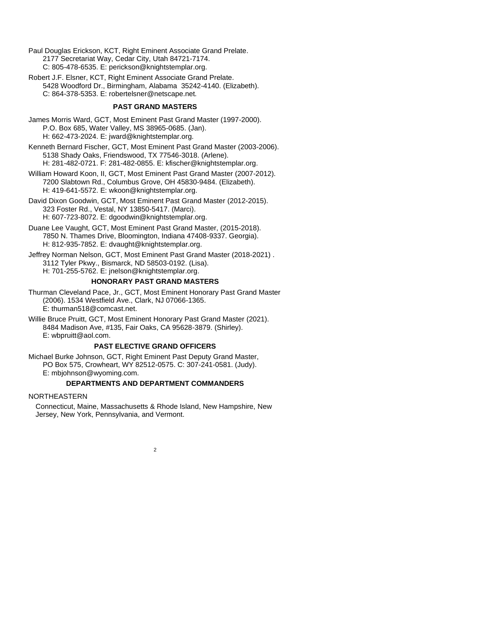Paul Douglas Erickson, KCT, Right Eminent Associate Grand Prelate. 2177 Secretariat Way, Cedar City, Utah 84721-7174. C: 805-478-6535. E: perickson@knightstemplar.org.

Robert J.F. Elsner, KCT, Right Eminent Associate Grand Prelate. 5428 Woodford Dr., Birmingham, Alabama 35242-4140. (Elizabeth). C: 864-378-5353. E: robertelsner@netscape.net*.*

#### **PAST GRAND MASTERS**

James Morris Ward, GCT, Most Eminent Past Grand Master (1997-2000). P.O. Box 685, Water Valley, MS 38965-0685. (Jan). H: 662-473-2024. E: jward@knightstemplar.org.

Kenneth Bernard Fischer, GCT, Most Eminent Past Grand Master (2003-2006). 5138 Shady Oaks, Friendswood, TX 77546-3018. (Arlene). H: 281-482-0721. F: 281-482-0855. E: kfischer@knightstemplar.org.

William Howard Koon, II, GCT, Most Eminent Past Grand Master (2007-2012). 7200 Slabtown Rd., Columbus Grove, OH 45830-9484. (Elizabeth). H: 419-641-5572. E: wkoon@knightstemplar.org.

David Dixon Goodwin, GCT, Most Eminent Past Grand Master (2012-2015). 323 Foster Rd., Vestal, NY 13850-5417. (Marci). H: 607-723-8072. E: dgoodwin@knightstemplar.org.

Duane Lee Vaught, GCT, Most Eminent Past Grand Master, (2015-2018). 7850 N. Thames Drive, Bloomington, Indiana 47408-9337. Georgia). H: 812-935-7852. E: dvaught@knightstemplar.org.

Jeffrey Norman Nelson, GCT, Most Eminent Past Grand Master (2018-2021) . 3112 Tyler Pkwy., Bismarck, ND 58503-0192. (Lisa). H: 701-255-5762. E: jnelson@knightstemplar.org.

#### **HONORARY PAST GRAND MASTERS**

Thurman Cleveland Pace, Jr., GCT, Most Eminent Honorary Past Grand Master (2006). 1534 Westfield Ave., Clark, NJ 07066-1365. E: thurman518@comcast.net.

Willie Bruce Pruitt, GCT, Most Eminent Honorary Past Grand Master (2021). 8484 Madison Ave, #135, Fair Oaks, CA 95628-3879. (Shirley). E: wbpruitt@aol.com.

#### **PAST ELECTIVE GRAND OFFICERS**

Michael Burke Johnson, GCT, Right Eminent Past Deputy Grand Master, PO Box 575, Crowheart, WY 82512-0575. C: 307-241-0581. (Judy). E: mbjohnson@wyoming.com.

#### **DEPARTMENTS AND DEPARTMENT COMMANDERS**

#### NORTHEASTERN

Connecticut, Maine, Massachusetts & Rhode Island, New Hampshire, New Jersey, New York, Pennsylvania, and Vermont.

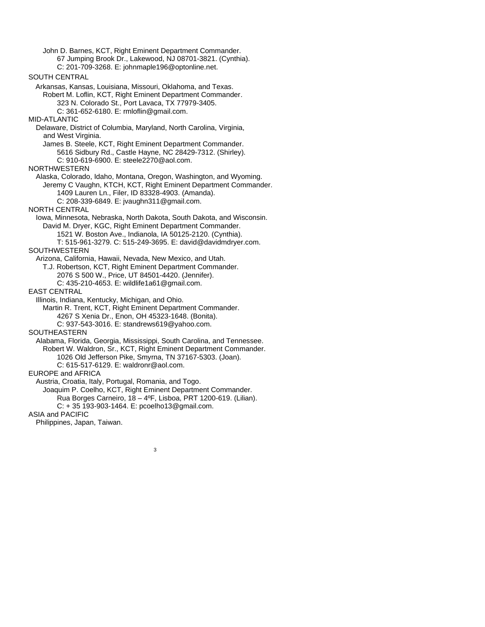John D. Barnes, KCT, Right Eminent Department Commander. 67 Jumping Brook Dr., Lakewood, NJ 08701-3821. (Cynthia). C: 201-709-3268. E: johnmaple196@optonline.net. SOUTH CENTRAL Arkansas, Kansas, Louisiana, Missouri, Oklahoma, and Texas. Robert M. Loflin, KCT, Right Eminent Department Commander. 323 N. Colorado St., Port Lavaca, TX 77979-3405. C: 361-652-6180. E: rmloflin@gmail.com. MID-ATLANTIC Delaware, District of Columbia, Maryland, North Carolina, Virginia, and West Virginia. James B. Steele, KCT, Right Eminent Department Commander. 5616 Sidbury Rd., Castle Hayne, NC 28429-7312. (Shirley). C: 910-619-6900. E: steele2270@aol.com. NORTHWESTERN Alaska, Colorado, Idaho, Montana, Oregon, Washington, and Wyoming. Jeremy C Vaughn, KTCH, KCT, Right Eminent Department Commander. 1409 Lauren Ln., Filer, ID 83328-4903. (Amanda). C: 208-339-6849. E: jvaughn311@gmail.com. NORTH CENTRAL Iowa, Minnesota, Nebraska, North Dakota, South Dakota, and Wisconsin. David M. Dryer, KGC, Right Eminent Department Commander. 1521 W. Boston Ave., Indianola, IA 50125-2120. (Cynthia). T: 515-961-3279. C: 515-249-3695. E: david@davidmdryer.com. SOUTHWESTERN Arizona, California, Hawaii, Nevada, New Mexico, and Utah. T.J. Robertson, KCT, Right Eminent Department Commander. 2076 S 500 W., Price, UT 84501-4420. (Jennifer). C: 435-210-4653. E: wildlife1a61@gmail.com. EAST CENTRAL Illinois, Indiana, Kentucky, Michigan, and Ohio. Martin R. Trent, KCT, Right Eminent Department Commander. 4267 S Xenia Dr., Enon, OH 45323-1648. (Bonita). C: 937-543-3016. E: standrews619@yahoo.com. SOUTHEASTERN Alabama, Florida, Georgia, Mississippi, South Carolina, and Tennessee. Robert W. Waldron, Sr., KCT, Right Eminent Department Commander. 1026 Old Jefferson Pike, Smyrna, TN 37167-5303. (Joan). C: 615-517-6129. E: waldronr@aol.com. EUROPE and AFRICA Austria, Croatia, Italy, Portugal, Romania, and Togo. Joaquim P. Coelho, KCT, Right Eminent Department Commander. Rua Borges Carneiro, 18 – 4ºF, Lisboa, PRT 1200-619. (Lilian). C: + 35 193-903-1464. E: pcoelho13@gmail.com. ASIA and PACIFIC Philippines, Japan, Taiwan.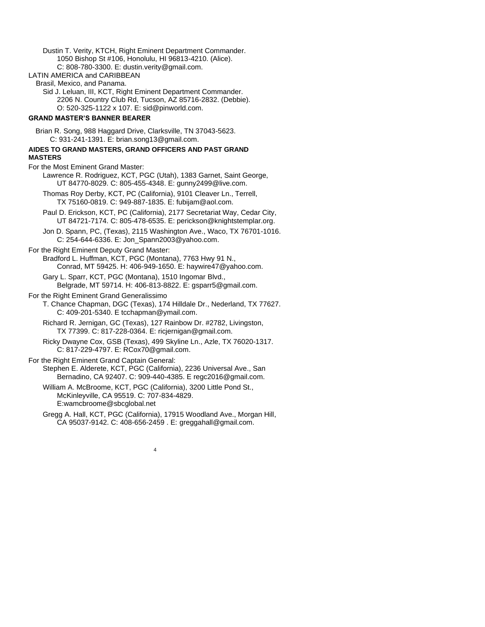Dustin T. Verity, KTCH, Right Eminent Department Commander. 1050 Bishop St #106, Honolulu, HI 96813-4210. (Alice). C: 808-780-3300. E: dustin.verity@gmail.com.

LATIN AMERICA and CARIBBEAN

Brasil, Mexico, and Panama.

Sid J. Leluan, III, KCT, Right Eminent Department Commander. 2206 N. Country Club Rd, Tucson, AZ 85716-2832. (Debbie). O: 520-325-1122 x 107. E: sid@pinworld.com.

#### **GRAND MASTER'S BANNER BEARER**

Brian R. Song, 988 Haggard Drive, Clarksville, TN 37043-5623. C: 931-241-1391. E: brian.song13@gmail.com.

### **AIDES TO GRAND MASTERS, GRAND OFFICERS AND PAST GRAND**

**MASTERS**

For the Most Eminent Grand Master:

- Lawrence R. Rodriguez, KCT, PGC (Utah), 1383 Garnet, Saint George, UT 84770-8029. C: 805-455-4348. E: gunny2499@live.com.
- Thomas Roy Derby, KCT, PC (California), 9101 Cleaver Ln., Terrell, TX 75160-0819. C: 949-887-1835. E: fubijam@aol.com.
- Paul D. Erickson, KCT, PC (California), 2177 Secretariat Way, Cedar City, UT 84721-7174. C: 805-478-6535. E: perickson@knightstemplar.org.
- Jon D. Spann, PC, (Texas), 2115 Washington Ave., Waco, TX 76701-1016. C: 254-644-6336. E: Jon\_Spann2003@yahoo.com.

#### For the Right Eminent Deputy Grand Master: Bradford L. Huffman, KCT, PGC (Montana), 7763 Hwy 91 N., Conrad, MT 59425. H: 406-949-1650. E: haywire47@yahoo.com.

Gary L. Sparr, KCT, PGC (Montana), 1510 Ingomar Blvd., Belgrade, MT 59714. H: 406-813-8822. E: gsparr5@gmail.com.

#### For the Right Eminent Grand Generalissimo

- T. Chance Chapman, DGC (Texas), 174 Hilldale Dr., Nederland, TX 77627. C: 409-201-5340. E tcchapman@ymail.com.
	- Richard R. Jernigan, GC (Texas), 127 Rainbow Dr. #2782, Livingston, TX 77399. C: 817-228-0364. E[: ricjernigan@gmail.com.](mailto:ricjernigan@gmail.com)
	- Ricky Dwayne Cox, GSB (Texas), 499 Skyline Ln., Azle, TX 76020-1317. C: 817-229-4797. E[: RCox70@gmail.com.](mailto:RCox70@gmail.com)

#### For the Right Eminent Grand Captain General:

Stephen E. Alderete, KCT, PGC (California), 2236 Universal Ave., San Bernadino, CA 92407. C: 909-440-4385. E regc2016@gmail.com.

William A. McBroome, KCT, PGC (California), 3200 Little Pond St., McKinleyville, CA 95519. C: 707-834-4829. E:wamcbroome@sbcglobal.net

Gregg A. Hall, KCT, PGC (California), 17915 Woodland Ave., Morgan Hill, CA 95037-9142. C: 408-656-2459 . E: greggahall@gmail.com.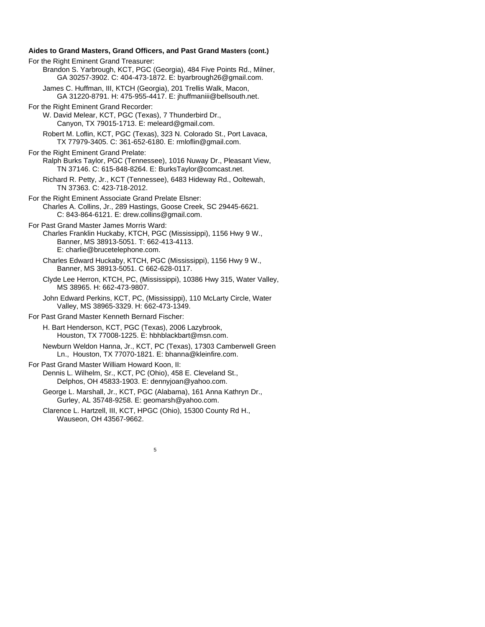**Aides to Grand Masters, Grand Officers, and Past Grand Masters (cont.)** For the Right Eminent Grand Treasurer: Brandon S. Yarbrough, KCT, PGC (Georgia), 484 Five Points Rd., Milner, GA 30257-3902. C: 404-473-1872. E: byarbrough26@gmail.com. James C. Huffman, III, KTCH (Georgia), 201 Trellis Walk, Macon, GA 31220-8791. H: 475-955-4417. E: jhuffmaniii@bellsouth.net. For the Right Eminent Grand Recorder: W. David Melear, KCT, PGC (Texas), 7 Thunderbird Dr., Canyon, TX 79015-1713. E: meleard@gmail.com. Robert M. Loflin, KCT, PGC (Texas), 323 N. Colorado St., Port Lavaca, TX 77979-3405. C: 361-652-6180. E: rmloflin@gmail.com. For the Right Eminent Grand Prelate: Ralph Burks Taylor, PGC (Tennessee), 1016 Nuway Dr., Pleasant View, TN 37146. C: 615-848-8264. E: BurksTaylor@comcast.net. Richard R. Petty, Jr., KCT (Tennessee), 6483 Hideway Rd., Ooltewah, TN 37363. C: 423-718-2012. For the Right Eminent Associate Grand Prelate Elsner: Charles A. Collins, Jr., 289 Hastings, Goose Creek, SC 29445-6621. C: 843-864-6121. E: drew.collins@gmail.com. For Past Grand Master James Morris Ward: Charles Franklin Huckaby, KTCH, PGC (Mississippi), 1156 Hwy 9 W., Banner, MS 38913-5051. T: 662-413-4113. E: charlie@brucetelephone.com. Charles Edward Huckaby, KTCH, PGC (Mississippi), 1156 Hwy 9 W., Banner, MS 38913-5051. C 662-628-0117. Clyde Lee Herron, KTCH, PC, (Mississippi), 10386 Hwy 315, Water Valley, MS 38965. H: 662-473-9807. John Edward Perkins, KCT, PC, (Mississippi), 110 McLarty Circle, Water Valley, MS 38965-3329. H: 662-473-1349. For Past Grand Master Kenneth Bernard Fischer: H. Bart Henderson, KCT, PGC (Texas), 2006 Lazybrook, Houston, TX 77008-1225. E: hbhblackbart@msn.com. Newburn Weldon Hanna, Jr., KCT, PC (Texas), 17303 Camberwell Green Ln., Houston, TX 77070-1821. E: bhanna@kleinfire.com. For Past Grand Master William Howard Koon, II: Dennis L. Wilhelm, Sr., KCT, PC (Ohio), 458 E. Cleveland St.,

Delphos, OH 45833-1903. E: dennyjoan@yahoo.com.

George L. Marshall, Jr., KCT, PGC (Alabama), 161 Anna Kathryn Dr., Gurley, AL 35748-9258. E: geomarsh@yahoo.com.

5

Clarence L. Hartzell, III, KCT, HPGC (Ohio), 15300 County Rd H., Wauseon, OH 43567-9662.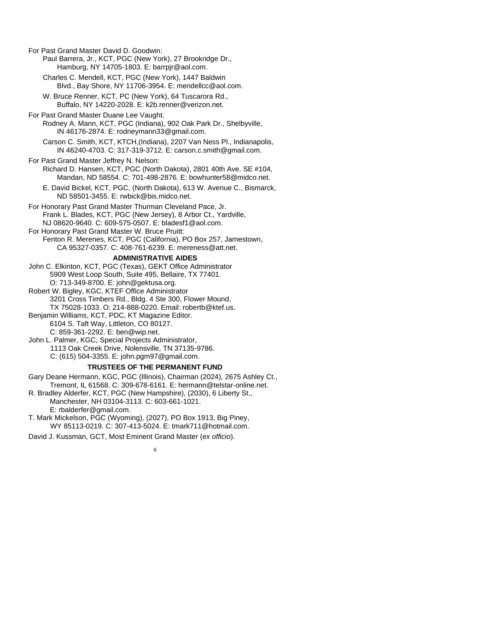For Past Grand Master David D. Goodwin:

Paul Barrera, Jr., KCT, PGC (New York), 27 Brookridge Dr., Hamburg, NY 14705-1803. E: barrpjr@aol.com.

Charles C. Mendell, KCT, PGC (New York), 1447 Baldwin Blvd., Bay Shore, NY 11706-3954. E: mendellcc@aol.com.

W. Bruce Renner, KCT, PC (New York), 64 Tuscarora Rd., Buffalo, NY 14220-2028. E: k2b.renner@verizon.net.

For Past Grand Master Duane Lee Vaught. Rodney A. Mann, KCT, PGC (Indiana), 902 Oak Park Dr., Shelbyville, IN 46176-2874. E: rodneymann33@gmail.com.

Carson C. Smith, KCT, KTCH,(Indiana), 2207 Van Ness Pl., Indianapolis, IN 46240-4703. C: 317-319-3712. E: carson.c.smith@gmail.com.

For Past Grand Master Jeffrey N. Nelson: Richard D. Hansen, KCT, PGC (North Dakota), 2801 40th Ave. SE #104, Mandan, ND 58554. C: 701-498-2876. E: bowhunter58@midco.net.

E. David Bickel, KCT, PGC, (North Dakota), 613 W. Avenue C., Bismarck, ND 58501-3455. E: rwbick@bis.midco.net.

For Honorary Past Grand Master Thurman Cleveland Pace, Jr. Frank L. Blades, KCT, PGC (New Jersey), 8 Arbor Ct., Yardville, NJ 08620-9640. C: 609-575-0507. E: [bladesf1@aol.com.](mailto:bladesf1@verizon.net) For Honorary Past Grand Master W. Bruce Pruitt:

Fenton R. Merenes, KCT, PGC (California), PO Box 257, Jamestown, CA 95327-0357. C: 408-761-6239. E: mereness@att.net.

#### **ADMINISTRATIVE AIDES**

John C. Elkinton, KCT, PGC (Texas), GEKT Office Administrator 5909 West Loop South, Suite 495, Bellaire, TX 77401. O: 713-349-8700. E: john@gektusa.org.

Robert W. Bigley, KGC, KTEF Office Administrator 3201 Cross Timbers Rd., Bldg. 4 Ste 300, Flower Mound, TX 75028-1033. O: 214-888-0220. Email: robertb@ktef.us.

Benjamin Williams, KCT, PDC, KT Magazine Editor. 6104 S. Taft Way, Littleton, CO 80127. C: 859-361-2292. E[: ben@wip.net.](mailto:ben@wip.net)

John L. Palmer, KGC, Special Projects Administrator,

1113 Oak Creek Drive, Nolensville, TN 37135-9786.

C: (615) 504-3355. E: john.pgm97@gmail.com.

#### **TRUSTEES OF THE PERMANENT FUND**

Gary Deane Hermann, KGC, PGC (Illinois), Chairman (2024), 2675 Ashley Ct., Tremont, IL 61568. C: 309-678-6161. E: hermann@telstar-online.net.

R. Bradley Alderfer, KCT, PGC (New Hampshire), (2030), 6 Liberty St., Manchester, NH 03104-3113. C: 603-661-1021.

E: rbalderfer@gmail.com.

T. Mark Mickelson, PGC (Wyoming), (2027), PO Box 1913, Big Piney, WY 85113-0219. C: 307-413-5024. E: tmark711@hotmail.com.

David J. Kussman, GCT, Most Eminent Grand Master (*ex officio*).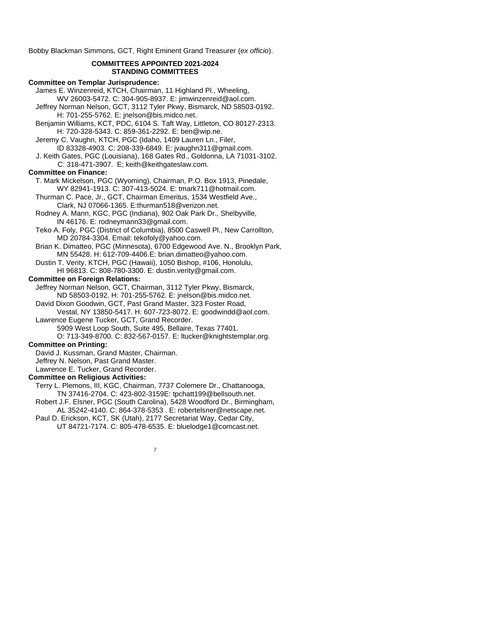Bobby Blackman Simmons, GCT, Right Eminent Grand Treasurer (*ex officio*).

#### **COMMITTEES APPOINTED 2021-2024 STANDING COMMITTEES**

#### **Committee on Templar Jurisprudence:**

James E. Winzenreid, KTCH, Chairman, 11 Highland Pl., Wheeling,

WV 26003-5472. C: 304-905-8937. E: jimwinzenreid@aol.com. Jeffrey Norman Nelson, GCT, 3112 Tyler Pkwy, Bismarck, ND 58503-0192. H: 701-255-5762. E: jnelson@bis.midco.net.

Benjamin Williams, KCT, PDC, 6104 S. Taft Way, Littleton, CO 80127-2313. H: 720-328-5343. C: 859-361-2292. E: ben@wip.ne.

Jeremy C. Vaughn, KTCH, PGC (Idaho, 1409 Lauren Ln., Filer,

ID 83328-4903. C: 208-339-6849. E: jvaughn311@gmail.com.

J. Keith Gates, PGC (Louisiana), 168 Gates Rd., Goldonna, LA 71031-3102. C: 318-471-3907. E; keith@keithgateslaw.com.

#### **Committee on Finance:**

T. Mark Mickelson, PGC (Wyoming), Chairman, P.O. Box 1913, Pinedale, WY 82941-1913. C: 307-413-5024. E: tmark711@hotmail.com.

Thurman C. Pace, Jr., GCT, Chairman Emeritus, 1534 Westfield Ave., Clark, NJ 07066-1365. E:thurman518@verizon.net.

Rodney A. Mann, KGC, PGC (Indiana), 902 Oak Park Dr., Shelbyville, IN 46176. E: rodneymann33@gmail.com.

Teko A. Foly, PGC (District of Columbia), 8500 Caswell Pl., New Carrollton, MD 20784-3304. Email: tekofoly@yahoo.com.

Brian K. Dimatteo, PGC (Minnesota), 6700 Edgewood Ave. N., Brooklyn Park, MN 55428. H: 612-709-4406.E: brian.dimatteo@yahoo.com.

Dustin T. Verity, KTCH, PGC (Hawaii), 1050 Bishop, #106, Honolulu, HI 96813. C: 808-780-3300. E: dustin.verity@gmail.com.

#### **Committee on Foreign Relations:**

Jeffrey Norman Nelson, GCT, Chairman, 3112 Tyler Pkwy, Bismarck, ND 58503-0192. H: 701-255-5762. E: jnelson@bis.midco.net.

David Dixon Goodwin, GCT, Past Grand Master, 323 Foster Road, Vestal, NY 13850-5417. H: 607-723-8072. E: goodwindd@aol.com.

Lawrence Eugene Tucker, GCT, Grand Recorder.

5909 West Loop South, Suite 495, Bellaire, Texas 77401.

O: 713-349-8700. C: 832-567-0157. E: ltucker@knightstemplar.org.

#### **Committee on Printing:**

David J. Kussman, Grand Master, Chairman.

Jeffrey N. Nelson, Past Grand Master.

Lawrence E. Tucker, Grand Recorder.

#### **Committee on Religious Activities:**

Terry L. Plemons, III, KGC, Chairman, 7737 Colemere Dr., Chattanooga, TN 37416-2704. C: 423-802-3159E: tpchatt199@bellsouth.net.

Robert J.F. Elsner, PGC (South Carolina), 5428 Woodford Dr., Birmingham, AL 35242-4140. C: 864-378-5353 . E: robertelsner@netscape.net.

7

Paul D. Erickson, KCT, SK (Utah), 2177 Secretariat Way, Cedar City, UT 84721-7174. C: 805-478-6535. E: bluelodge1@comcast.net.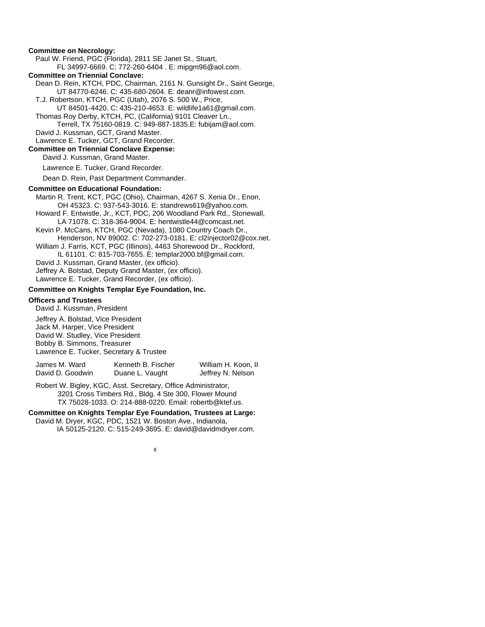#### **Committee on Necrology:**

Paul W. Friend, PGC (Florida), 2811 SE Janet St., Stuart,

FL 34997-6669. C: 772-260-6404 . E: mipgm96@aol.com.

#### **Committee on Triennial Conclave:**

Dean D. Rein, KTCH, PDC, Chairman, 2161 N. Gunsight Dr., Saint George,

UT 84770-6246. C: 435-680-2604. E: deanr@infowest.com.

T.J. Robertson, KTCH, PGC (Utah), 2076 S. 500 W., Price,

UT 84501-4420. C: 435-210-4653. E: wildlife1a61@gmail.com.

Thomas Roy Derby, KTCH, PC, (California) 9101 Cleaver Ln.,

Terrell, TX 75160-0819. C: 949-887-1835.E: fubijam@aol.com. David J. Kussman, GCT, Grand Master.

Lawrence E. Tucker, GCT, Grand Recorder.

#### **Committee on Triennial Conclave Expense:**

David J. Kussman, Grand Master.

Lawrence E. Tucker, Grand Recorder.

Dean D. Rein, Past Department Commander.

#### **Committee on Educational Foundation:**

Martin R. Trent, KCT, PGC (Ohio), Chairman, 4267 S. Xenia Dr., Enon, OH 45323. C: 937-543-3016. E: standrews619@yahoo.com.

Howard F. Entwistle, Jr., KCT, PDC, 206 Woodland Park Rd., Stonewall, LA 71078. C: 318-364-9004. E: hentwistle44@comcast.net.

Kevin P. McCans, KTCH, PGC (Nevada), 1080 Country Coach Dr.,

Henderson, NV 89002. C: 702-273-0181. E: cl2injector02@cox.net. William J. Farris, KCT, PGC (Illinois), 4463 Shorewood Dr., Rockford,

IL 61101. C: 815-703-7655. E: templar2000.bf@gmail.com. David J. Kussman, Grand Master, (ex officio).

Jeffrey A. Bolstad, Deputy Grand Master, (ex officio).

Lawrence E. Tucker, Grand Recorder, (ex officio).

#### **Committee on Knights Templar Eye Foundation, Inc.**

#### **Officers and Trustees**

David J. Kussman, President

Jeffrey A. Bolstad, Vice President Jack M. Harper, Vice President David W. Studley, Vice President Bobby B. Simmons, Treasurer Lawrence E. Tucker, Secretary & Trustee

| James M. Ward    | Kenneth B. Fischer | William H. Koon, II |
|------------------|--------------------|---------------------|
| David D. Goodwin | Duane L. Vaught    | Jeffrey N. Nelson   |

Robert W. Bigley, KGC, Asst. Secretary, Office Administrator, 3201 Cross Timbers Rd., Bldg. 4 Ste 300, Flower Mound TX 75028-1033. O: 214-888-0220. Email: robertb@ktef.us.

#### **Committee on Knights Templar Eye Foundation, Trustees at Large:**

David M. Dryer, KGC, PDC, 1521 W. Boston Ave., Indianola, IA 50125-2120. C: 515-249-3695. E: david@davidmdryer.com.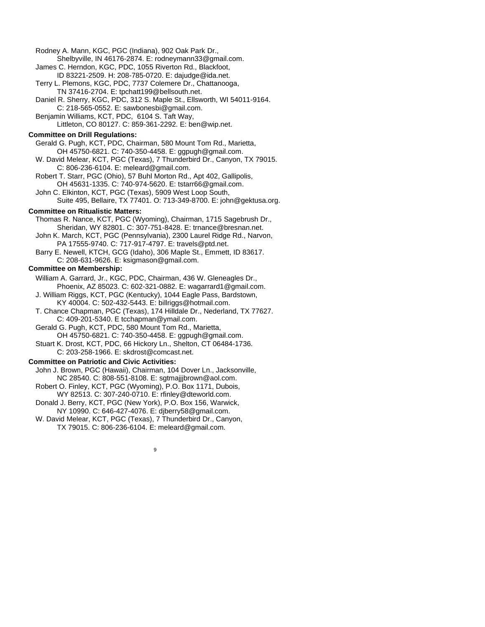#### Rodney A. Mann, KGC, PGC (Indiana), 902 Oak Park Dr.,

- Shelbyville, IN 46176-2874. E: rodneymann33@gmail.com. James C. Herndon, KGC, PDC, 1055 Riverton Rd., Blackfoot,
- ID 83221-2509. H: 208-785-0720. E: dajudge@ida.net.
- Terry L. Plemons, KGC, PDC, 7737 Colemere Dr., Chattanooga, TN 37416-2704. E: tpchatt199@bellsouth.net.
- Daniel R. Sherry, KGC, PDC, 312 S. Maple St., Ellsworth, WI 54011-9164. C: 218-565-0552. E: sawbonesbi@gmail.com.
- Benjamin Williams, KCT, PDC, 6104 S. Taft Way, Littleton, CO 80127. C: 859-361-2292. E: [ben@wip.net.](mailto:ben@wip.net)

#### **Committee on Drill Regulations:**

Gerald G. Pugh, KCT, PDC, Chairman, 580 Mount Tom Rd., Marietta, OH 45750-6821. C: 740-350-4458. E: ggpugh@gmail.com.

- W. David Melear, KCT, PGC (Texas), 7 Thunderbird Dr., Canyon, TX 79015. C: 806-236-6104. E: meleard@gmail.com.
- Robert T. Starr, PGC (Ohio), 57 Buhl Morton Rd., Apt 402, Gallipolis, OH 45631-1335. C: 740-974-5620. E: tstarr66@gmail.com.
- John C. Elkinton, KCT, PGC (Texas), 5909 West Loop South, Suite 495, Bellaire, TX 77401. O: 713-349-8700. E: john@gektusa.org.

#### **Committee on Ritualistic Matters:**

Thomas R. Nance, KCT, PGC (Wyoming), Chairman, 1715 Sagebrush Dr., Sheridan, WY 82801. C: 307-751-8428. E: trnance@bresnan.net.

- John K. March, KCT, PGC (Pennsylvania), 2300 Laurel Ridge Rd., Narvon, PA 17555-9740. C: 717-917-4797. E: travels@ptd.net.
- Barry E. Newell, KTCH, GCG (Idaho), 306 Maple St., Emmett, ID 83617. C: 208-631-9626. E: ksigmason@gmail.com.

#### **Committee on Membership:**

- William A. Garrard, Jr., KGC, PDC, Chairman, 436 W. Gleneagles Dr., Phoenix, AZ 85023. C: 602-321-0882. E: wagarrard1@gmail.com.
- J. William Riggs, KCT, PGC (Kentucky), 1044 Eagle Pass, Bardstown, KY 40004. C: 502-432-5443. E: billriggs@hotmail.com.
- T. Chance Chapman, PGC (Texas), 174 Hilldale Dr., Nederland, TX 77627. C: 409-201-5340. E tcchapman@ymail.com.
- Gerald G. Pugh, KCT, PDC, 580 Mount Tom Rd., Marietta, OH 45750-6821. C: 740-350-4458. E: ggpugh@gmail.com.
- Stuart K. Drost, KCT, PDC, 66 Hickory Ln., Shelton, CT 06484-1736. C: 203-258-1966. E: skdrost@comcast.net.

#### **Committee on Patriotic and Civic Activities:**

- John J. Brown, PGC (Hawaii), Chairman, 104 Dover Ln., Jacksonville, NC 28540. C: 808-551-8108. E: sgtmajjjbrown@aol.com.
- Robert O. Finley, KCT, PGC (Wyoming), P.O. Box 1171, Dubois, WY 82513. C: 307-240-0710. E: rfinley@dteworld.com.
- Donald J. Berry, KCT, PGC (New York), P.O. Box 156, Warwick,
- NY 10990. C: 646-427-4076. E: djberry58@gmail.com.
- W. David Melear, KCT, PGC (Texas), 7 Thunderbird Dr., Canyon, TX 79015. C: 806-236-6104. E: meleard@gmail.com.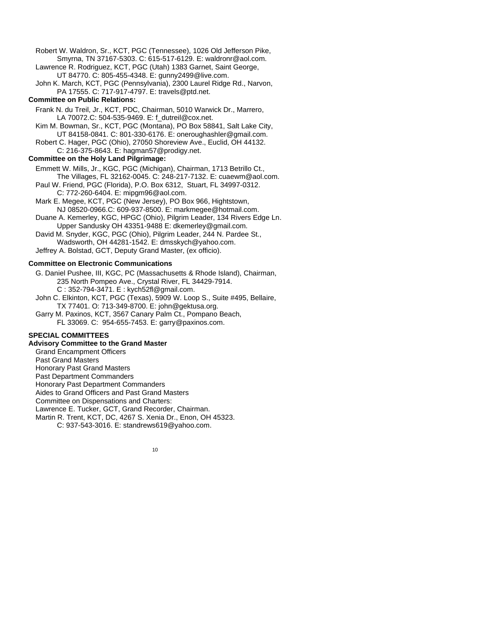Robert W. Waldron, Sr., KCT, PGC (Tennessee), 1026 Old Jefferson Pike, Smyrna, TN 37167-5303. C: 615-517-6129. E: waldronr@aol.com.

Lawrence R. Rodriguez, KCT, PGC (Utah) 1383 Garnet, Saint George, UT 84770. C: 805-455-4348. E: gunny2499@live.com.

John K. March, KCT, PGC (Pennsylvania), 2300 Laurel Ridge Rd., Narvon, PA 17555. C: 717-917-4797. E: travels@ptd.net.

#### **Committee on Public Relations:**

Frank N. du Treil, Jr., KCT, PDC, Chairman, 5010 Warwick Dr., Marrero, LA 70072.C: 504-535-9469. E: f\_dutreil@cox.net.

Kim M. Bowman, Sr., KCT, PGC (Montana), PO Box 58841, Salt Lake City, UT 84158-0841. C: 801-330-6176. E: oneroughashler@gmail.com.

Robert C. Hager, PGC (Ohio), 27050 Shoreview Ave., Euclid, OH 44132. C: 216-375-8643. E: hagman57@prodigy.net.

#### **Committee on the Holy Land Pilgrimage:**

Emmett W. Mills, Jr., KGC, PGC (Michigan), Chairman, 1713 Betrillo Ct., The Villages, FL 32162-0045. C: 248-217-7132. E: [cuaewm@aol.com.](mailto:cuaewm@aol.com)

Paul W. Friend, PGC (Florida), P.O. Box 6312, Stuart, FL 34997-0312. C: 772-260-6404. E: mipgm96@aol.com.

Mark E. Megee, KCT, PGC (New Jersey), PO Box 966, Hightstown, NJ 08520-0966.C: 609-937-8500. E: markmegee@hotmail.com.

Duane A. Kemerley, KGC, HPGC (Ohio), Pilgrim Leader, 134 Rivers Edge Ln. Upper Sandusky OH 43351-9488 E: dkemerley@gmail.com.

David M. Snyder, KGC, PGC (Ohio), Pilgrim Leader, 244 N. Pardee St., Wadsworth, OH 44281-1542. E: dmsskych@yahoo.com.

Jeffrey A. Bolstad, GCT, Deputy Grand Master, (ex officio).

#### **Committee on Electronic Communications**

G. Daniel Pushee, III, KGC, PC (Massachusetts & Rhode Island), Chairman, 235 North Pompeo Ave., Crystal River, FL 34429-7914. C : 352-794-3471. E : [kych52fl@gmail.com.](mailto:kych52fl@gmail.com)

John C. Elkinton, KCT, PGC (Texas), 5909 W. Loop S., Suite #495, Bellaire, TX 77401. O: 713-349-8700. E: john@gektusa.org.

Garry M. Paxinos, KCT, 3567 Canary Palm Ct., Pompano Beach, FL 33069. C: 954-655-7453. E: garry@paxinos.com.

#### **SPECIAL COMMITTEES**

#### **Advisory Committee to the Grand Master**

Grand Encampment Officers Past Grand Masters Honorary Past Grand Masters Past Department Commanders Honorary Past Department Commanders Aides to Grand Officers and Past Grand Masters Committee on Dispensations and Charters: Lawrence E. Tucker, GCT, Grand Recorder, Chairman. Martin R. Trent, KCT, DC, 4267 S. Xenia Dr., Enon, OH 45323. C: 937-543-3016. E: standrews619@yahoo.com.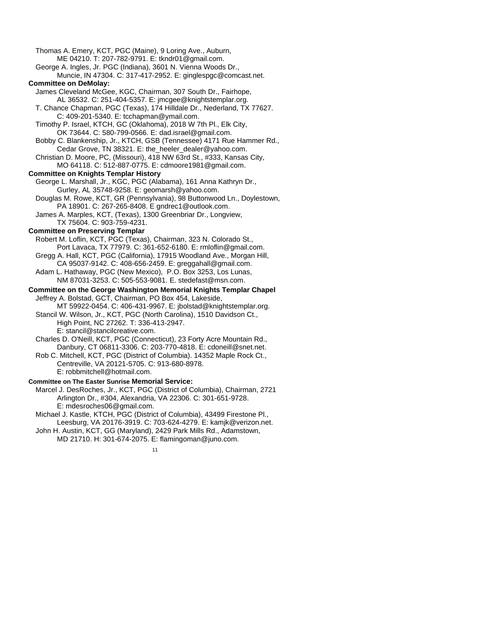Thomas A. Emery, KCT, PGC (Maine), 9 Loring Ave., Auburn, ME 04210. T: 207-782-9791. E: tkndr01@gmail.com. George A. Ingles, Jr. PGC (Indiana), 3601 N. Vienna Woods Dr., Muncie, IN 47304. C: 317-417-2952. E: ginglespgc@comcast.net. **Committee on DeMolay:** James Cleveland McGee, KGC, Chairman, 307 South Dr., Fairhope, AL 36532. C: 251-404-5357. E: jmcgee@knightstemplar.org. T. Chance Chapman, PGC (Texas), 174 Hilldale Dr., Nederland, TX 77627. C: 409-201-5340. E: tcchapman@ymail.com. Timothy P. Israel, KTCH, GC (Oklahoma), 2018 W 7th Pl., Elk City, OK 73644. C: 580-799-0566. E: dad.israel@gmail.com. Bobby C. Blankenship, Jr., KTCH, GSB (Tennessee) 4171 Rue Hammer Rd., Cedar Grove, TN 38321. E: the\_heeler\_dealer@yahoo.com. Christian D. Moore, PC, (Missouri), 418 NW 63rd St., #333, Kansas City, MO 64118. C: 512-887-0775. E: cdmoore1981@gmail.com. **Committee on Knights Templar History** George L. Marshall, Jr., KGC, PGC (Alabama), 161 Anna Kathryn Dr., Gurley, AL 35748-9258. E: geomarsh@yahoo.com. Douglas M. Rowe, KCT, GR (Pennsylvania), 98 Buttonwood Ln., Doylestown, PA 18901. C: 267-265-8408. E gndrec1@outlook.com. James A. Marples, KCT, (Texas), 1300 Greenbriar Dr., Longview, TX 75604. C: 903-759-4231. **Committee on Preserving Templar** Robert M. Loflin, KCT, PGC (Texas), Chairman, 323 N. Colorado St., Port Lavaca, TX 77979. C: 361-652-6180. E: rmloflin@gmail.com. Gregg A. Hall, KCT, PGC (California), 17915 Woodland Ave., Morgan Hill, CA 95037-9142. C: 408-656-2459. E: greggahall@gmail.com. Adam L. Hathaway, PGC (New Mexico), P.O. Box 3253, Los Lunas, NM 87031-3253. C: 505-553-9081. E. stedefast@msn.com. **Committee on the George Washington Memorial Knights Templar Chapel** Jeffrey A. Bolstad, GCT, Chairman, PO Box 454, Lakeside, MT 59922-0454. C: 406-431-9967. E: jbolstad@knightstemplar.org. Stancil W. Wilson, Jr., KCT, PGC (North Carolina), 1510 Davidson Ct., High Point, NC 27262. T: 336-413-2947. E: [stancil@stancilcreative.com.](mailto:stancil@stancilcreative.com) Charles D. O'Neill, KCT, PGC (Connecticut), 23 Forty Acre Mountain Rd., Danbury, CT 06811-3306. C: 203-770-4818. E: cdoneill@snet.net. Rob C. Mitchell, KCT, PGC (District of Columbia). 14352 Maple Rock Ct., Centreville, VA 20121-5705. C: 913-680-8978. E: robbmitchell@hotmail.com.

#### **Committee on The Easter Sunrise Memorial Service:**

Marcel J. DesRoches, Jr., KCT, PGC (District of Columbia), Chairman, 2721 Arlington Dr., #304, Alexandria, VA 22306. C: 301-651-9728. E: mdesroches06@gmail.com.

Michael J. Kastle, KTCH, PGC (District of Columbia), 43499 Firestone Pl., Leesburg, VA 20176-3919. C: 703-624-4279. E: kamjk@verizon.net.

John H. Austin, KCT, GG (Maryland), 2429 Park Mills Rd., Adamstown, MD 21710. H: 301-674-2075. E: flamingoman@juno.com.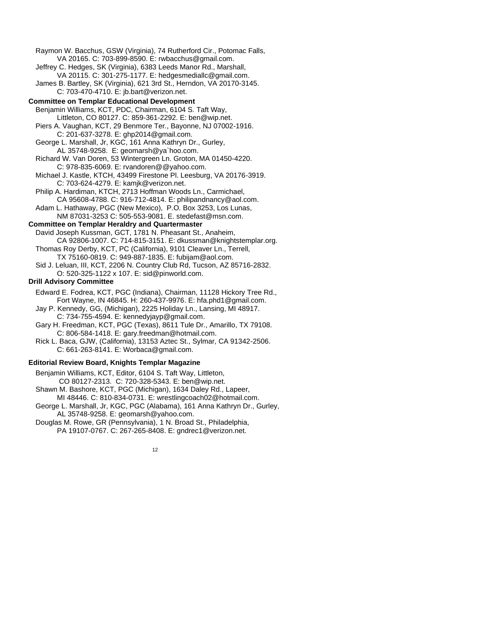Raymon W. Bacchus, GSW (Virginia), 74 Rutherford Cir., Potomac Falls, VA 20165. C: 703-899-8590. E: rwbacchus@gmail.com. Jeffrey C. Hedges, SK (Virginia), 6383 Leeds Manor Rd., Marshall, VA 20115. C: 301-275-1177. E: hedgesmediallc@gmail.com. James B. Bartley, SK (Virginia), 621 3rd St., Herndon, VA 20170-3145. C: 703-470-4710. E: jb.bart@verizon.net. **Committee on Templar Educational Development** Benjamin Williams, KCT, PDC, Chairman, 6104 S. Taft Way, Littleton, CO 80127. C: 859-361-2292. E: [ben@wip.net.](mailto:ben@wip.net) Piers A. Vaughan, KCT, 29 Benmore Ter., Bayonne, NJ 07002-1916. C: 201-637-3278. E: ghp2014@gmail.com. George L. Marshall, Jr, KGC, 161 Anna Kathryn Dr., Gurley, AL 35748-9258. E: geomarsh@ya`hoo.com. Richard W. Van Doren, 53 Wintergreen Ln. Groton, MA 01450-4220. C: 978-835-6069. E: rvandoren@@yahoo.com. Michael J. Kastle, KTCH, 43499 Firestone Pl. Leesburg, VA 20176-3919. C: 703-624-4279. E: kamjk@verizon.net. Philip A. Hardiman, KTCH, 2713 Hoffman Woods Ln., Carmichael, CA 95608-4788. C: 916-712-4814. E: philipandnancy@aol.com. Adam L. Hathaway, PGC (New Mexico), P.O. Box 3253, Los Lunas, NM 87031-3253 C: 505-553-9081. E. stedefast@msn.com. **Committee on Templar Heraldry and Quartermaster** David Joseph Kussman, GCT, 1781 N. Pheasant St., Anaheim, CA 92806-1007. C: 714-815-3151. E: dkussman@knightstemplar.org. Thomas Roy Derby, KCT, PC (California), 9101 Cleaver Ln., Terrell, TX 75160-0819. C: 949-887-1835. E: fubijam@aol.com. Sid J. Leluan, III, KCT, 2206 N. Country Club Rd, Tucson, AZ 85716-2832. O: 520-325-1122 x 107. E[: sid@pinworld.com.](mailto:sid@pinworld.com) **Drill Advisory Committee** Edward E. Fodrea, KCT, PGC (Indiana), Chairman, 11128 Hickory Tree Rd., Fort Wayne, IN 46845. H: 260-437-9976. E: hfa.phd1@gmail.com. Jay P. Kennedy, GG, (Michigan), 2225 Holiday Ln., Lansing, MI 48917. C: 734-755-4594. E: kennedyjayp@gmail.com. Gary H. Freedman, KCT, PGC (Texas), 8611 Tule Dr., Amarillo, TX 79108. C: 806-584-1418. E: gary.freedman@hotmail.com. Rick L. Baca, GJW, (California), 13153 Aztec St., Sylmar, CA 91342-2506. C: 661-263-8141. E: Worbaca@gmail.com. **Editorial Review Board, Knights Templar Magazine** Benjamin Williams, KCT, Editor, 6104 S. Taft Way, Littleton, CO 80127-2313. C: 720-328-5343. E[: ben@wip.net.](mailto:ben@wip.net)  Shawn M. Bashore, KCT, PGC (Michigan), 1634 Daley Rd., Lapeer, MI 48446. C: 810-834-0731. E: wrestlingcoach02@hotmail.com.

George L. Marshall, Jr, KGC, PGC (Alabama), 161 Anna Kathryn Dr., Gurley, AL 35748-9258. E: geomarsh@yahoo.com.

Douglas M. Rowe, GR (Pennsylvania), 1 N. Broad St., Philadelphia, PA 19107-0767. C: 267-265-8408. E: gndrec1@verizon.net.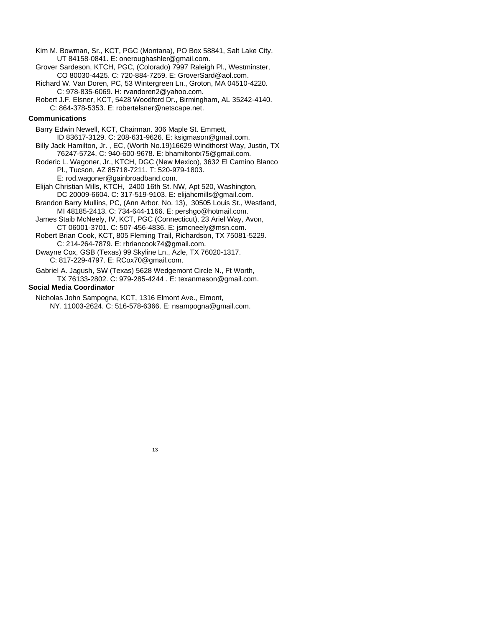- Kim M. Bowman, Sr., KCT, PGC (Montana), PO Box 58841, Salt Lake City, UT 84158-0841. E: oneroughashler@gmail.com.
- Grover Sardeson, KTCH, PGC, (Colorado) 7997 Raleigh Pl., Westminster, CO 80030-4425. C: 720-884-7259. E: GroverSard@aol.com.
- Richard W. Van Doren, PC, 53 Wintergreen Ln., Groton, MA 04510-4220. C: 978-835-6069. H: rvandoren2@yahoo.com.
- Robert J.F. Elsner, KCT, 5428 Woodford Dr., Birmingham, AL 35242-4140. C: 864-378-5353. E: robertelsner@netscape.net.

#### **Communications**

Barry Edwin Newell, KCT, Chairman. 306 Maple St. Emmett, ID 83617-3129. C: 208-631-9626. E: ksigmason@gmail.com. Billy Jack Hamilton, Jr. , EC, (Worth No.19)16629 Windthorst Way, Justin, TX 76247-5724. C: 940-600-9678. E: bhamiltontx75@gmail.com.

Roderic L. Wagoner, Jr., KTCH, DGC (New Mexico), 3632 El Camino Blanco Pl., Tucson, AZ 85718-7211. T: 520-979-1803. E: rod.wagoner@gainbroadband.com.

Elijah Christian Mills, KTCH, 2400 16th St. NW, Apt 520, Washington, DC 20009-6604. C: 317-519-9103. E: elijahcmills@gmail.com.

Brandon Barry Mullins, PC, (Ann Arbor, No. 13), 30505 Louis St., Westland, MI 48185-2413. C: 734-644-1166. E: pershgo@hotmail.com.

James Staib McNeely, IV, KCT, PGC (Connecticut), 23 Ariel Way, Avon, CT 06001-3701. C: 507-456-4836. E: jsmcneely@msn.com.

Robert Brian Cook, KCT, 805 Fleming Trail, Richardson, TX 75081-5229. C: 214-264-7879. E: rbriancook74@gmail.com.

Dwayne Cox, GSB (Texas) 99 Skyline Ln., Azle, TX 76020-1317. C: 817-229-4797. E: RCox70@gmail.com.

Gabriel A. Jagush, SW (Texas) 5628 Wedgemont Circle N., Ft Worth, TX 76133-2802. C: 979-285-4244 . E: texanmason@gmail.com.

#### **Social Media Coordinator**

Nicholas John Sampogna, KCT, 1316 Elmont Ave., Elmont, NY. 11003-2624. C: 516-578-6366. E: nsampogna@gmail.com.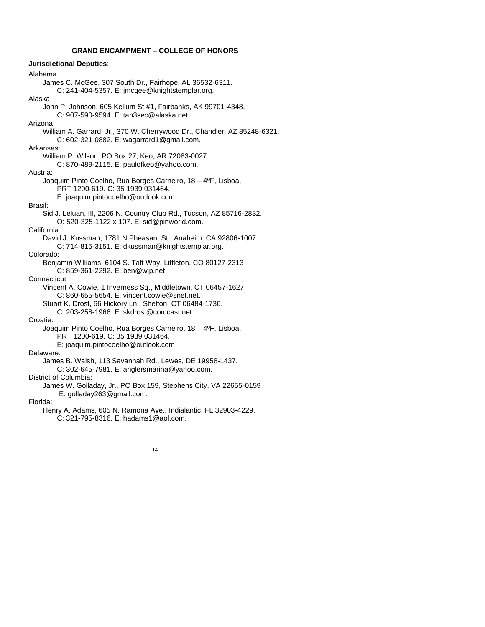#### **GRAND ENCAMPMENT – COLLEGE OF HONORS**

**Jurisdictional Deputies**: Alabama James C. McGee, 307 South Dr., Fairhope, AL 36532-6311. C: 241-404-5357. E: jmcgee@knightstemplar.org. Alaska John P. Johnson, 605 Kellum St #1, Fairbanks, AK 99701-4348. C: 907-590-9594. E: tan3sec@alaska.net. Arizona William A. Garrard, Jr., 370 W. Cherrywood Dr., Chandler, AZ 85248-6321. C: 602-321-0882. E: wagarrard1@gmail.com. Arkansas: William P. Wilson, PO Box 27, Keo, AR 72083-0027. C: 870-489-2115. E: paulofkeo@yahoo.com. Austria: Joaquim Pinto Coelho, Rua Borges Carneiro, 18 – 4ºF, Lisboa, PRT 1200-619. C: 35 1939 031464. E: joaquim.pintocoelho@outlook.com. Brasil: Sid J. Leluan, III, 2206 N. Country Club Rd., Tucson, AZ 85716-2832. O: 520-325-1122 x 107. E: sid@pinworld.com. California: David J. Kussman, 1781 N Pheasant St., Anaheim, CA 92806-1007. C: 714-815-3151. E: dkussman@knightstemplar.org. Colorado: Benjamin Williams, 6104 S. Taft Way, Littleton, CO 80127-2313 C: 859-361-2292. E[: ben@wip.net.](mailto:ben@wip.net) **Connecticut** Vincent A. Cowie, 1 Inverness Sq., Middletown, CT 06457-1627. C: 860-655-5654. E: vincent.cowie@snet.net. Stuart K. Drost, 66 Hickory Ln., Shelton, CT 06484-1736. C: 203-258-1966. E: skdrost@comcast.net. Croatia: Joaquim Pinto Coelho, Rua Borges Carneiro, 18 – 4ºF, Lisboa, PRT 1200-619. C: 35 1939 031464. E: joaquim.pintocoelho@outlook.com. Delaware: James B. Walsh, 113 Savannah Rd., Lewes, DE 19958-1437. C: 302-645-7981. E: anglersmarina@yahoo.com. District of Columbia: James W. Golladay, Jr., PO Box 159, Stephens City, VA 22655-0159 E: golladay263@gmail.com. Florida: Henry A. Adams, 605 N. Ramona Ave., Indialantic, FL 32903-4229. C: 321-795-8316. E: hadams1@aol.com.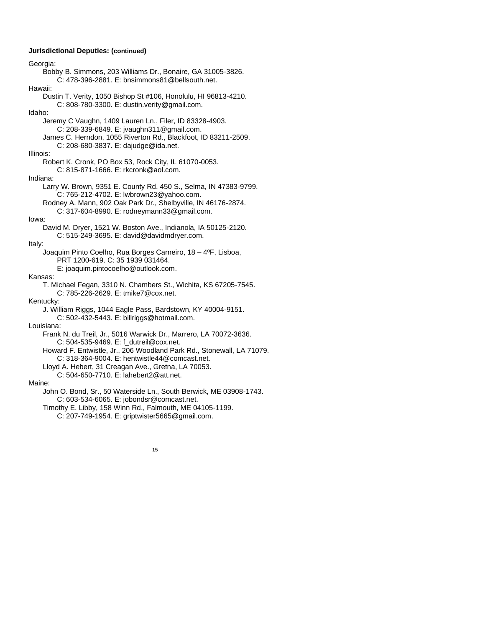#### **Jurisdictional Deputies: (continued)**

Georgia: Bobby B. Simmons, 203 Williams Dr., Bonaire, GA 31005-3826. C: 478-396-2881. E: bnsimmons81@bellsouth.net. Hawaii: Dustin T. Verity, 1050 Bishop St #106, Honolulu, HI 96813-4210. C: 808-780-3300. E: dustin.verity@gmail.com. Idaho: Jeremy C Vaughn, 1409 Lauren Ln., Filer, ID 83328-4903. C: 208-339-6849. E: jvaughn311@gmail.com. James C. Herndon, 1055 Riverton Rd., Blackfoot, ID 83211-2509. C: 208-680-3837. E: dajudge@ida.net. Illinois: Robert K. Cronk, PO Box 53, Rock City, IL 61070-0053. C: 815-871-1666. E: rkcronk@aol.com. Indiana: Larry W. Brown, 9351 E. County Rd. 450 S., Selma, IN 47383-9799. C: 765-212-4702. E: lwbrown23@yahoo.com. Rodney A. Mann, 902 Oak Park Dr., Shelbyville, IN 46176-2874. C: 317-604-8990. E: rodneymann33@gmail.com. Iowa: David M. Dryer, 1521 W. Boston Ave., Indianola, IA 50125-2120. C: 515-249-3695. E: david@davidmdryer.com. Italy: Joaquim Pinto Coelho, Rua Borges Carneiro, 18 – 4ºF, Lisboa, PRT 1200-619. C: 35 1939 031464. E: joaquim.pintocoelho@outlook.com. Kansas: T. Michael Fegan, 3310 N. Chambers St., Wichita, KS 67205-7545. C: 785-226-2629. E: tmike7@cox.net. Kentucky: J. William Riggs, 1044 Eagle Pass, Bardstown, KY 40004-9151. C: 502-432-5443. E: billriggs@hotmail.com. Louisiana: Frank N. du Treil, Jr., 5016 Warwick Dr., Marrero, LA 70072-3636. C: 504-535-9469. E: f\_dutreil@cox.net. Howard F. Entwistle, Jr., 206 Woodland Park Rd., Stonewall, LA 71079. C: 318-364-9004. E: hentwistle44@comcast.net. Lloyd A. Hebert, 31 Creagan Ave., Gretna, LA 70053. C: 504-650-7710. E: lahebert2@att.net. Maine: John O. Bond, Sr., 50 Waterside Ln., South Berwick, ME 03908-1743. C: 603-534-6065. E: jobondsr@comcast.net. Timothy E. Libby, 158 Winn Rd., Falmouth, ME 04105-1199.

C: 207-749-1954. E: griptwister5665@gmail.com.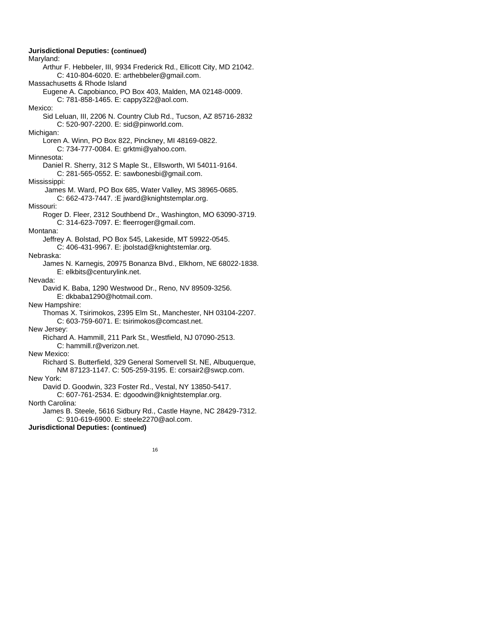**Jurisdictional Deputies: (continued)** Maryland: Arthur F. Hebbeler, III, 9934 Frederick Rd., Ellicott City, MD 21042. C: 410-804-6020. E: arthebbeler@gmail.com. Massachusetts & Rhode Island Eugene A. Capobianco, PO Box 403, Malden, MA 02148-0009. C: 781-858-1465. E: cappy322@aol.com. Mexico: Sid Leluan, III, 2206 N. Country Club Rd., Tucson, AZ 85716-2832 C: 520-907-2200. E: sid@pinworld.com. Michigan: Loren A. Winn, PO Box 822, Pinckney, MI 48169-0822. C: 734-777-0084. E: grktmi@yahoo.com. Minnesota: Daniel R. Sherry, 312 S Maple St., Ellsworth, WI 54011-9164. C: 281-565-0552. E: sawbonesbi@gmail.com. Mississippi: James M. Ward, PO Box 685, Water Valley, MS 38965-0685. C: 662-473-7447. :E jward@knightstemplar.org. Missouri: Roger D. Fleer, 2312 Southbend Dr., Washington, MO 63090-3719. C: 314-623-7097. E: fleerroger@gmail.com. Montana: Jeffrey A. Bolstad, PO Box 545, Lakeside, MT 59922-0545. C: 406-431-9967. E: jbolstad@knightstemlar.org. Nebraska: James N. Karnegis, 20975 Bonanza Blvd., Elkhorn, NE 68022-1838. E: elkbits@centurylink.net. Nevada: David K. Baba, 1290 Westwood Dr., Reno, NV 89509-3256. E: dkbaba1290@hotmail.com. New Hampshire: Thomas X. Tsirimokos, 2395 Elm St., Manchester, NH 03104-2207. C: 603-759-6071. E: tsirimokos@comcast.net. New Jersey: Richard A. Hammill, 211 Park St., Westfield, NJ 07090-2513. C: hammill.r@verizon.net. New Mexico: Richard S. Butterfield, 329 General Somervell St. NE, Albuquerque, NM 87123-1147. C: 505-259-3195. E: corsair2@swcp.com. New York: David D. Goodwin, 323 Foster Rd., Vestal, NY 13850-5417. C: 607-761-2534. E: dgoodwin@knightstemplar.org. North Carolina: James B. Steele, 5616 Sidbury Rd., Castle Hayne, NC 28429-7312. C: 910-619-6900. E: steele2270@aol.com. **Jurisdictional Deputies: (continued)**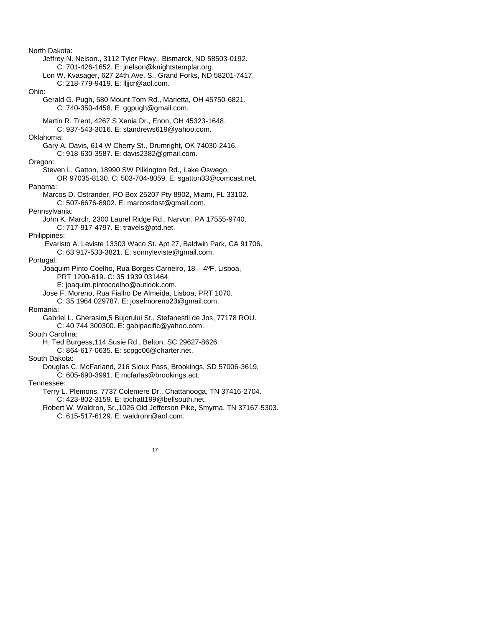North Dakota: Jeffrey N. Nelson., 3112 Tyler Pkwy., Bismarck, ND 58503-0192. C: 701-426-1652. E: jnelson@knightstemplar.org. Lon W. Kvasager, 627 24th Ave. S., Grand Forks, ND 58201-7417. C: 218-779-9419. E: lljjcr@aol.com. Ohio: Gerald G. Pugh, 580 Mount Tom Rd., Marietta, OH 45750-6821. C: 740-350-4458. E: ggpugh@gmail.com. Martin R. Trent, 4267 S Xenia Dr., Enon, OH 45323-1648. C: 937-543-3016. E: standrews619@yahoo.com. Oklahoma: Gary A. Davis, 614 W Cherry St., Drumright, OK 74030-2416. C: 918-630-3587. E: davis2382@gmail.com. Oregon: Steven L. Gatton, 18990 SW Pilkington Rd., Lake Oswego, OR 97035-8130. C: 503-704-8059. E: sgatton33@comcast.net. Panama: Marcos D. Ostrander, PO Box 25207 Pty 8902, Miami, FL 33102. C: 507-6676-8902. E: marcosdost@gmail.com. Pennsylvania: John K. March, 2300 Laurel Ridge Rd., Narvon, PA 17555-9740. C: 717-917-4797. E: travels@ptd.net. Philippines: Evaristo A. Leviste 13303 Waco St. Apt 27, Baldwin Park, CA 91706. C: 63 917-533-3821. E: sonnyleviste@gmail.com. Portugal: Joaquim Pinto Coelho, Rua Borges Carneiro, 18 – 4ºF, Lisboa, PRT 1200-619. C: 35 1939 031464. E: joaquim.pintocoelho@outlook.com. Jose F. Moreno, Rua Fialho De Almeida, Lisboa, PRT 1070. C: 35 1964 029787. E: josefmoreno23@gmail.com. Romania: Gabriel L. Gherasim,5 Bujorului St., Stefanestii de Jos, 77178 ROU. C: 40 744 300300. E: gabipacific@yahoo.com. South Carolina: H. Ted Burgess,114 Susie Rd., Belton, SC 29627-8626. C: 864-617-0635. E: scpgc06@charter.net. South Dakota: Douglas C. McFarland, 216 Sioux Pass, Brookings, SD 57006-3619. C: 605-690-3991. E:mcfarlas@brookings.act. Tennessee: Terry L. Plemons, 7737 Colemere Dr., Chattanooga, TN 37416-2704. C: 423-802-3159. E: tpchatt199@bellsouth.net. Robert W. Waldron, Sr.,1026 Old Jefferson Pike, Smyrna, TN 37167-5303. C: 615-517-6129. E: waldronr@aol.com.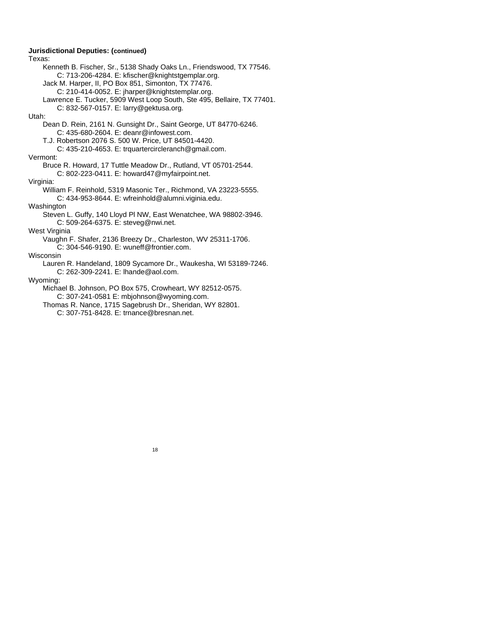**Jurisdictional Deputies: (continued)** Texas: Kenneth B. Fischer, Sr., 5138 Shady Oaks Ln., Friendswood, TX 77546. C: 713-206-4284. E: kfischer@knightstgemplar.org. Jack M. Harper, II, PO Box 851, Simonton, TX 77476. C: 210-414-0052. E: jharper@knightstemplar.org. Lawrence E. Tucker, 5909 West Loop South, Ste 495, Bellaire, TX 77401. C: 832-567-0157. E: larry@gektusa.org. Utah: Dean D. Rein, 2161 N. Gunsight Dr., Saint George, UT 84770-6246. C: 435-680-2604. E: deanr@infowest.com. T.J. Robertson 2076 S. 500 W. Price, UT 84501-4420. C: 435-210-4653. E: trquartercircleranch@gmail.com. Vermont: Bruce R. Howard, 17 Tuttle Meadow Dr., Rutland, VT 05701-2544. C: 802-223-0411. E: howard47@myfairpoint.net. Virginia: William F. Reinhold, 5319 Masonic Ter., Richmond, VA 23223-5555. C: 434-953-8644. E: wfreinhold@alumni.viginia.edu. Washington Steven L. Guffy, 140 Lloyd Pl NW, East Wenatchee, WA 98802-3946. C: 509-264-6375. E: steveg@nwi.net. West Virginia Vaughn F. Shafer, 2136 Breezy Dr., Charleston, WV 25311-1706. C: 304-546-9190. E: wuneff@frontier.com. Wisconsin Lauren R. Handeland, 1809 Sycamore Dr., Waukesha, WI 53189-7246. C: 262-309-2241. E: lhande@aol.com. Wyoming: Michael B. Johnson, PO Box 575, Crowheart, WY 82512-0575. C: 307-241-0581 E: mbjohnson@wyoming.com. Thomas R. Nance, 1715 Sagebrush Dr., Sheridan, WY 82801. C: 307-751-8428. E: trnance@bresnan.net.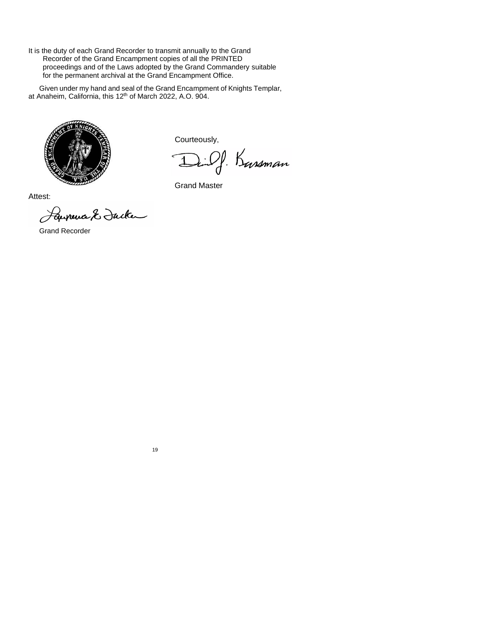It is the duty of each Grand Recorder to transmit annually to the Grand Recorder of the Grand Encampment copies of all the PRINTED proceedings and of the Laws adopted by the Grand Commandery suitable for the permanent archival at the Grand Encampment Office.

Given under my hand and seal of the Grand Encampment of Knights Templar, at Anaheim, California, this 12<sup>th</sup> of March 2022, A.O. 904.



Courteously,

Ding. Kassman  $\overline{1}$ 

Grand Master

Attest:

Laurence & Jacken

Grand Recorder